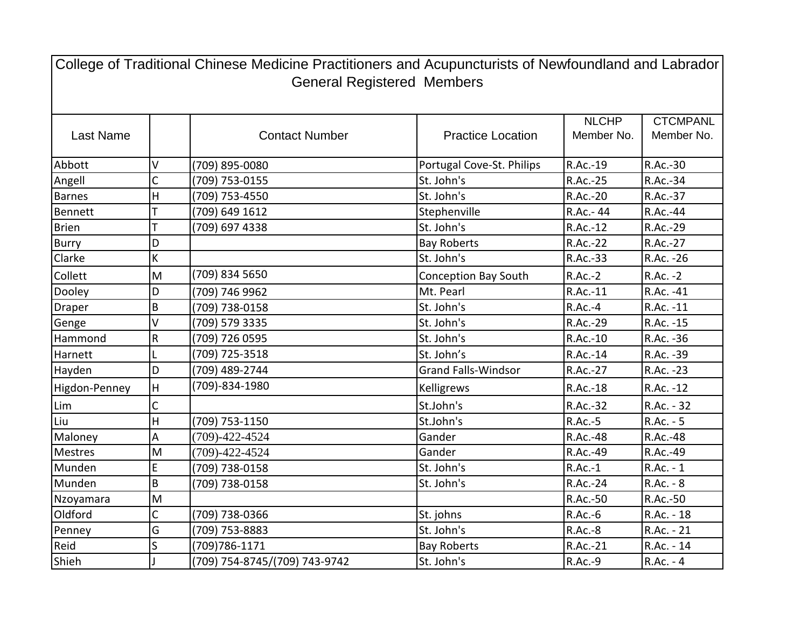| College of Traditional Chinese Medicine Practitioners and Acupuncturists of Newfoundland and Labrador<br><b>General Registered Members</b> |             |                               |                             |                            |                               |  |  |  |
|--------------------------------------------------------------------------------------------------------------------------------------------|-------------|-------------------------------|-----------------------------|----------------------------|-------------------------------|--|--|--|
| <b>Last Name</b>                                                                                                                           |             | <b>Contact Number</b>         | <b>Practice Location</b>    | <b>NLCHP</b><br>Member No. | <b>CTCMPANL</b><br>Member No. |  |  |  |
| Abbott                                                                                                                                     | V           | (709) 895-0080                | Portugal Cove-St. Philips   | R.Ac.-19                   | R.Ac.-30                      |  |  |  |
| Angell                                                                                                                                     | $\mathsf C$ | (709) 753-0155                | St. John's                  | R.Ac.-25                   | R.Ac.-34                      |  |  |  |
| Barnes                                                                                                                                     | H           | (709) 753-4550                | St. John's                  | R.Ac.-20                   | R.Ac.-37                      |  |  |  |
| Bennett                                                                                                                                    |             | (709) 649 1612                | Stephenville                | R.Ac.- 44                  | R.Ac.-44                      |  |  |  |
| Brien                                                                                                                                      | T           | (709) 697 4338                | St. John's                  | R.Ac.-12                   | R.Ac.-29                      |  |  |  |
| <b>Burry</b>                                                                                                                               | D           |                               | <b>Bay Roberts</b>          | R.Ac.-22                   | R.Ac.-27                      |  |  |  |
| Clarke                                                                                                                                     | K           |                               | St. John's                  | R.Ac.-33                   | R.Ac. - 26                    |  |  |  |
| Collett                                                                                                                                    | M           | (709) 834 5650                | <b>Conception Bay South</b> | $R.Ac.-2$                  | R.Ac. -2                      |  |  |  |
| Dooley                                                                                                                                     | D           | (709) 746 9962                | Mt. Pearl                   | R.Ac.-11                   | R.Ac. -41                     |  |  |  |
| Draper                                                                                                                                     | B           | (709) 738-0158                | St. John's                  | $R.Ac.-4$                  | R.Ac. -11                     |  |  |  |
| Genge                                                                                                                                      | V           | (709) 579 3335                | St. John's                  | R.Ac.-29                   | R.Ac. -15                     |  |  |  |
| Hammond                                                                                                                                    | R           | (709) 726 0595                | St. John's                  | R.Ac.-10                   | R.Ac. - 36                    |  |  |  |
| Harnett                                                                                                                                    | L           | (709) 725-3518                | St. John's                  | R.Ac.-14                   | R.Ac. -39                     |  |  |  |
| Hayden                                                                                                                                     | D           | (709) 489-2744                | <b>Grand Falls-Windsor</b>  | R.Ac.-27                   | R.Ac. -23                     |  |  |  |
| Higdon-Penney                                                                                                                              | H           | (709)-834-1980                | Kelligrews                  | R.Ac.-18                   | R.Ac. -12                     |  |  |  |
| Lim                                                                                                                                        | C           |                               | St.John's                   | R.Ac.-32                   | R.Ac. - 32                    |  |  |  |
| Liu                                                                                                                                        | H           | (709) 753-1150                | St.John's                   | R.Ac.-5                    | $R.Ac. - 5$                   |  |  |  |
| Maloney                                                                                                                                    | А           | $(709) - 422 - 4524$          | Gander                      | R.Ac.-48                   | R.Ac.-48                      |  |  |  |
| <b>Mestres</b>                                                                                                                             | M           | $(709) - 422 - 4524$          | Gander                      | R.Ac.-49                   | R.Ac.-49                      |  |  |  |
| Munden                                                                                                                                     | E           | (709) 738-0158                | St. John's                  | $R.Ac.-1$                  | $R.Ac. - 1$                   |  |  |  |
| Munden                                                                                                                                     | B           | (709) 738-0158                | St. John's                  | R.Ac.-24                   | R.Ac. - 8                     |  |  |  |
| Nzoyamara                                                                                                                                  | M           |                               |                             | R.Ac.-50                   | R.Ac.-50                      |  |  |  |
| Oldford                                                                                                                                    | C           | (709) 738-0366                | St. johns                   | $R.Ac.-6$                  | R.Ac. - 18                    |  |  |  |
| Penney                                                                                                                                     | G           | (709) 753-8883                | St. John's                  | R.Ac.-8                    | R.Ac. - 21                    |  |  |  |
| Reid                                                                                                                                       | S           | (709) 786-1171                | <b>Bay Roberts</b>          | R.Ac.-21                   | R.Ac. - 14                    |  |  |  |
| Shieh                                                                                                                                      |             | (709) 754-8745/(709) 743-9742 | St. John's                  | R.Ac.-9                    | R.Ac. - 4                     |  |  |  |